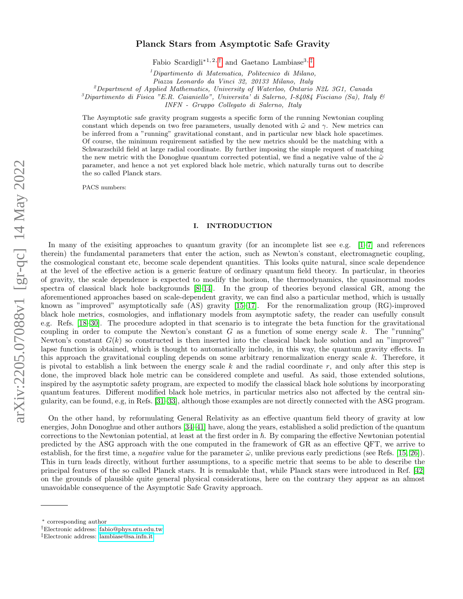# Planck Stars from Asymptotic Safe Gravity

Fabio Scardigli<sup>∗1, 2, [†](#page-0-0)</sup> and Gaetano Lambiase<sup>3, [‡](#page-0-1)</sup>

 $1$ Dipartimento di Matematica, Politecnico di Milano,

Piazza Leonardo da Vinci 32, 20133 Milano, Italy

<sup>2</sup>Department of Applied Mathematics, University of Waterloo, Ontario N2L 3G1, Canada

 ${}^{3}$ Dipartimento di Fisica "E.R. Caianiello", Universita' di Salerno, I-84084 Fisciano (Sa), Italy &

INFN - Gruppo Collegato di Salerno, Italy

The Asymptotic safe gravity program suggests a specific form of the running Newtonian coupling constant which depends on two free parameters, usually denoted with  $\tilde{\omega}$  and  $\gamma$ . New metrics can be inferred from a "running" gravitational constant, and in particular new black hole spacetimes. Of course, the minimum requirement satisfied by the new metrics should be the matching with a Schwarzschild field at large radial coordinate. By further imposing the simple request of matching the new metric with the Donoghue quantum corrected potential, we find a negative value of the  $\tilde{\omega}$ parameter, and hence a not yet explored black hole metric, which naturally turns out to describe the so called Planck stars.

PACS numbers:

### I. INTRODUCTION

In many of the exisiting approaches to quantum gravity (for an incomplete list see e.g.  $[1-7]$  $[1-7]$  and references therein) the fundamental parameters that enter the action, such as Newton's constant, electromagnetic coupling, the cosmological constant etc, become scale dependent quantities. This looks quite natural, since scale dependence at the level of the effective action is a generic feature of ordinary quantum field theory. In particular, in theories of gravity, the scale dependence is expected to modify the horizon, the thermodynamics, the quasinormal modes spectra of classical black hole backgrounds [\[8–](#page-12-2)[14\]](#page-12-3). In the group of theories beyond classical GR, among the aforementioned approaches based on scale-dependent gravity, we can find also a particular method, which is usually known as "improved" asymptotically safe  $(AS)$  gravity  $[15-17]$  $[15-17]$ . For the renormalization group  $(RG)$ -improved black hole metrics, cosmologies, and inflationary models from asymptotic safety, the reader can usefully consult e.g. Refs. [\[18–](#page-12-6)[30\]](#page-13-0). The procedure adopted in that scenario is to integrate the beta function for the gravitational coupling in order to compute the Newton's constant  $G$  as a function of some energy scale k. The "running" Newton's constant  $G(k)$  so constructed is then inserted into the classical black hole solution and an "improved" lapse function is obtained, which is thought to automatically include, in this way, the quantum gravity effects. In this approach the gravitational coupling depends on some arbitrary renormalization energy scale  $k$ . Therefore, it is pivotal to establish a link between the energy scale  $k$  and the radial coordinate  $r$ , and only after this step is done, the improved black hole metric can be considered complete and useful. As said, those extended solutions, inspired by the asymptotic safety program, are expected to modify the classical black hole solutions by incorporating quantum features. Different modified black hole metrics, in particular metrics also not affected by the central singularity, can be found, e.g, in Refs. [\[31–](#page-13-1)[33\]](#page-13-2), although those examples are not directly connected with the ASG program.

On the other hand, by reformulating General Relativity as an effective quantum field theory of gravity at low energies, John Donoghue and other authors [\[34–](#page-13-3)[41\]](#page-13-4) have, along the years, established a solid prediction of the quantum corrections to the Newtonian potential, at least at the first order in  $\hbar$ . By comparing the effective Newtonian potential predicted by the ASG approach with the one computed in the framework of GR as an effective QFT, we arrive to establish, for the first time, a *negative* value for the parameter  $\tilde{\omega}$ , unlike previous early predictions (see Refs. [\[15,](#page-12-4) [26\]](#page-12-7)). This in turn leads directly, without further assumptions, to a specific metric that seems to be able to describe the principal features of the so called Planck stars. It is remakable that, while Planck stars were introduced in Ref. [\[42\]](#page-13-5) on the grounds of plausible quite general physical considerations, here on the contrary they appear as an almost unavoidable consequence of the Asymptotic Safe Gravity approach.

<sup>∗</sup> corresponding author

<span id="page-0-0"></span><sup>†</sup>Electronic address: [fabio@phys.ntu.edu.tw](mailto:fabio@phys.ntu.edu.tw)

<span id="page-0-1"></span><sup>‡</sup>Electronic address: [lambiase@sa.infn.it](mailto:lambiase@sa.infn.it)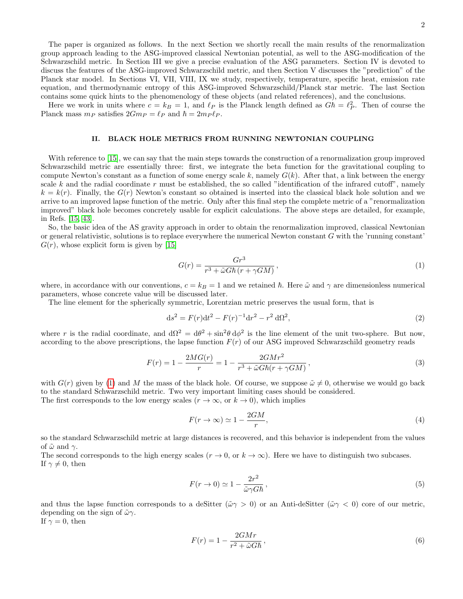The paper is organized as follows. In the next Section we shortly recall the main results of the renormalization group approach leading to the ASG-improved classical Newtonian potential, as well to the ASG-modification of the Schwarzschild metric. In Section III we give a precise evaluation of the ASG parameters. Section IV is devoted to discuss the features of the ASG-improved Schwarzschild metric, and then Section V discusses the "prediction" of the Planck star model. In Sections VI, VII, VIII, IX we study, respectively, temperature, specific heat, emission rate equation, and thermodynamic entropy of this ASG-improved Schwarzschild/Planck star metric. The last Section contains some quick hints to the phenomenology of these objects (and related references), and the conclusions.

Here we work in units where  $c = k_B = 1$ , and  $\ell_P$  is the Planck length defined as  $G\hbar = \ell_P^2$ . Then of course the Planck mass  $m_P$  satisfies  $2Gm_P = \ell_P$  and  $\hbar = 2m_P \ell_P$ .

### II. BLACK HOLE METRICS FROM RUNNING NEWTONIAN COUPLING

With reference to [\[15\]](#page-12-4), we can say that the main steps towards the construction of a renormalization group improved Schwarzschild metric are essentially three: first, we integrate the beta function for the gravitational coupling to compute Newton's constant as a function of some energy scale k, namely  $G(k)$ . After that, a link between the energy scale k and the radial coordinate r must be established, the so called "identification of the infrared cutoff", namely  $k = k(r)$ . Finally, the  $G(r)$  Newton's constant so obtained is inserted into the classical black hole solution and we arrive to an improved lapse function of the metric. Only after this final step the complete metric of a "renormalization improved" black hole becomes concretely usable for explicit calculations. The above steps are detailed, for example, in Refs. [\[15,](#page-12-4) [43\]](#page-13-6).

So, the basic idea of the AS gravity approach in order to obtain the renormalization improved, classical Newtonian or general relativistic, solutions is to replace everywhere the numerical Newton constant G with the 'running constant'  $G(r)$ , whose explicit form is given by [\[15\]](#page-12-4)

<span id="page-1-0"></span>
$$
G(r) = \frac{Gr^3}{r^3 + \tilde{\omega}G\hbar \left(r + \gamma GM\right)},\tag{1}
$$

where, in accordance with our conventions,  $c = k_B = 1$  and we retained  $\hbar$ . Here  $\tilde{\omega}$  and  $\gamma$  are dimensionless numerical parameters, whose concrete value will be discussed later.

The line element for the spherically symmetric, Lorentzian metric preserves the usual form, that is

<span id="page-1-4"></span>
$$
ds^{2} = F(r)dt^{2} - F(r)^{-1}dr^{2} - r^{2} d\Omega^{2},
$$
\n(2)

where r is the radial coordinate, and  $d\Omega^2 = d\theta^2 + \sin^2\theta d\phi^2$  is the line element of the unit two-sphere. But now, according to the above prescriptions, the lapse function  $F(r)$  of our ASG improved Schwarzschild geometry reads

<span id="page-1-1"></span>
$$
F(r) = 1 - \frac{2MG(r)}{r} = 1 - \frac{2GMr^2}{r^3 + \tilde{\omega}G\hbar(r + \gamma GM)},
$$
\n(3)

with  $G(r)$  given by [\(1\)](#page-1-0) and M the mass of the black hole. Of course, we suppose  $\tilde{\omega} \neq 0$ , otherwise we would go back to the standard Schwarzschild metric. Two very important limiting cases should be considered. The first corresponds to the low energy scales  $(r \to \infty, \text{ or } k \to 0)$ , which implies

<span id="page-1-3"></span>
$$
F(r \to \infty) \simeq 1 - \frac{2GM}{r},\tag{4}
$$

so the standard Schwarzschild metric at large distances is recovered, and this behavior is independent from the values of  $\tilde{\omega}$  and  $\gamma$ .

The second corresponds to the high energy scales  $(r \to 0, \text{ or } k \to \infty)$ . Here we have to distinguish two subcases. If  $\gamma \neq 0$ , then

<span id="page-1-2"></span>
$$
F(r \to 0) \simeq 1 - \frac{2r^2}{\tilde{\omega}\gamma G\hbar},\qquad(5)
$$

and thus the lapse function corresponds to a deSitter ( $\tilde{\omega}\gamma > 0$ ) or an Anti-deSitter ( $\tilde{\omega}\gamma < 0$ ) core of our metric, depending on the sign of  $\tilde{\omega}\gamma$ .

If  $\gamma = 0$ , then

$$
F(r) = 1 - \frac{2GMr}{r^2 + \tilde{\omega}G\hbar},\qquad(6)
$$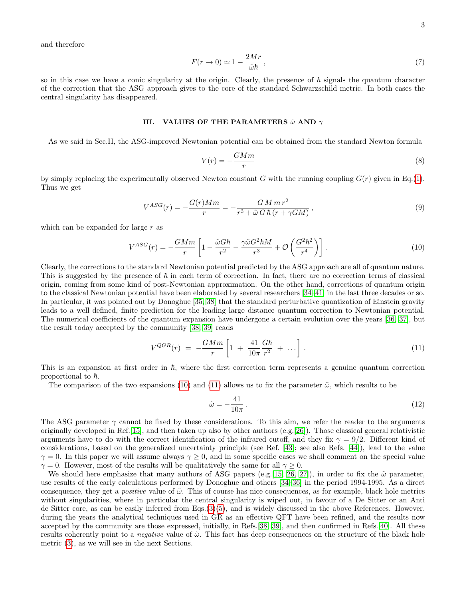and therefore

$$
F(r \to 0) \simeq 1 - \frac{2Mr}{\tilde{\omega}\hbar} \,,\tag{7}
$$

so in this case we have a conic singularity at the origin. Clearly, the presence of  $\hbar$  signals the quantum character of the correction that the ASG approach gives to the core of the standard Schwarzschild metric. In both cases the central singularity has disappeared.

### III. VALUES OF THE PARAMETERS  $\tilde{\omega}$  AND  $\gamma$

As we said in Sec.II, the ASG-improved Newtonian potential can be obtained from the standard Newton formula

$$
V(r) = -\frac{GMm}{r} \tag{8}
$$

by simply replacing the experimentally observed Newton constant G with the running coupling  $G(r)$  given in Eq.[\(1\)](#page-1-0). Thus we get

$$
V^{ASG}(r) = -\frac{G(r)Mm}{r} = -\frac{GM\,m\,r^2}{r^3 + \tilde{\omega}\,G\,\hbar\,(r + \gamma GM)},\tag{9}
$$

which can be expanded for large  $r$  as

<span id="page-2-0"></span>
$$
V^{ASG}(r) = -\frac{GMm}{r} \left[ 1 - \frac{\tilde{\omega}G\hbar}{r^2} - \frac{\gamma \tilde{\omega}G^2\hbar M}{r^3} + \mathcal{O}\left(\frac{G^2\hbar^2}{r^4}\right) \right].
$$
 (10)

Clearly, the corrections to the standard Newtonian potential predicted by the ASG approach are all of quantum nature. This is suggested by the presence of  $\hbar$  in each term of correction. In fact, there are no correction terms of classical origin, coming from some kind of post-Newtonian approximation. On the other hand, corrections of quantum origin to the classical Newtonian potential have been elaborated by several researchers [\[34–](#page-13-3)[41\]](#page-13-4) in the last three decades or so. In particular, it was pointed out by Donoghue [\[35,](#page-13-7) [38\]](#page-13-8) that the standard perturbative quantization of Einstein gravity leads to a well defined, finite prediction for the leading large distance quantum correction to Newtonian potential. The numerical coefficients of the quantum expansion have undergone a certain evolution over the years [\[36,](#page-13-9) [37\]](#page-13-10), but the result today accepted by the community [\[38,](#page-13-8) [39\]](#page-13-11) reads

<span id="page-2-1"></span>
$$
V^{QGR}(r) = -\frac{GMm}{r} \left[ 1 + \frac{41}{10\pi} \frac{G\hbar}{r^2} + \dots \right].
$$
 (11)

This is an expansion at first order in  $\hbar$ , where the first correction term represents a genuine quantum correction proportional to  $\hbar$ .

The comparison of the two expansions [\(10\)](#page-2-0) and [\(11\)](#page-2-1) allows us to fix the parameter  $\tilde{\omega}$ , which results to be

$$
\tilde{\omega} = -\frac{41}{10\pi} \,. \tag{12}
$$

The ASG parameter  $\gamma$  cannot be fixed by these considerations. To this aim, we refer the reader to the arguments originally developed in Ref.  $[15]$ , and then taken up also by other authors (e.g.  $[26]$ ). Those classical general relativistic arguments have to do with the correct identification of the infrared cutoff, and they fix  $\gamma = 9/2$ . Different kind of considerations, based on the generalized uncertainty principle (see Ref. [\[43\]](#page-13-6); see also Refs. [\[44\]](#page-13-12)), lead to the value  $\gamma = 0$ . In this paper we will assume always  $\gamma \ge 0$ , and in some specific cases we shall comment on the special value  $\gamma = 0$ . However, most of the results will be qualitatively the same for all  $\gamma \geq 0$ .

We should here emphasize that many authors of ASG papers (e.g. [\[15,](#page-12-4) [26,](#page-12-7) [27\]](#page-12-8)), in order to fix the  $\tilde{\omega}$  parameter, use results of the early calculations performed by Donoghue and others [\[34–](#page-13-3)[36\]](#page-13-9) in the period 1994-1995. As a direct consequence, they get a *positive* value of  $\tilde{\omega}$ . This of course has nice consequences, as for example, black hole metrics without singularities, where in particular the central singularity is wiped out, in favour of a De Sitter or an Anti de Sitter core, as can be easily inferred from Eqs.[\(3\)](#page-1-1)[\(5\)](#page-1-2), and is widely discussed in the above References. However, during the years the analytical techniques used in GR as an effective QFT have been refined, and the results now accepted by the community are those expressed, initially, in Refs.[\[38,](#page-13-8) [39\]](#page-13-11), and then confirmed in Refs.[\[40\]](#page-13-13). All these results coherently point to a *negative* value of  $\tilde{\omega}$ . This fact has deep consequences on the structure of the black hole metric [\(3\)](#page-1-1), as we will see in the next Sections.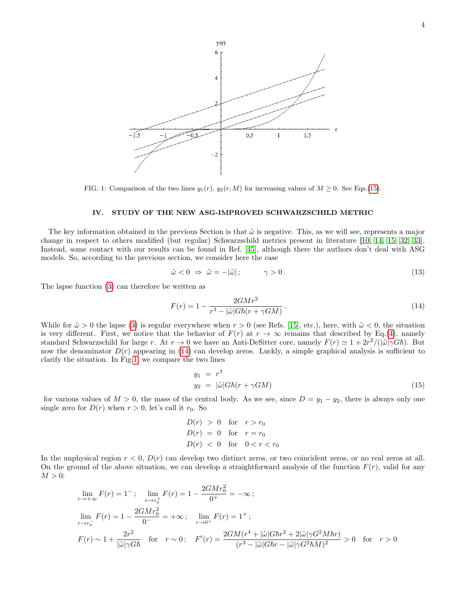

<span id="page-3-2"></span>FIG. 1: Comparison of the two lines  $y_1(r)$ ,  $y_2(r, M)$  for increasing values of  $M \geq 0$ . See Eqs.[\(15\)](#page-3-0).

### IV. STUDY OF THE NEW ASG-IMPROVED SCHWARZSCHILD METRIC

The key information obtained in the previous Section is that  $\tilde{\omega}$  is negative. This, as we will see, represents a major change in respect to others modified (but regular) Schwarzschild metrics present in literature [\[10,](#page-12-9) [14,](#page-12-3) [15,](#page-12-4) [32,](#page-13-14) [33\]](#page-13-2). Instead, some contact with our results can be found in Ref. [\[45\]](#page-13-15), although there the authors don't deal with ASG models. So, according to the previous section, we consider here the case

$$
\tilde{\omega} < 0 \implies \tilde{\omega} = -|\tilde{\omega}|\,; \qquad \gamma > 0\,. \tag{13}
$$

The lapse function [\(3\)](#page-1-1) can therefore be written as

<span id="page-3-1"></span>
$$
F(r) = 1 - \frac{2GMr^2}{r^3 - |\tilde{\omega}|G\hbar(r + \gamma GM)}.
$$
\n(14)

While for  $\tilde{\omega} > 0$  the lapse [\(3\)](#page-1-1) is regular everywhere when  $r > 0$  (see Refs. [\[15\]](#page-12-4), etc.), here, with  $\tilde{\omega} < 0$ , the situation is very different. First, we notice that the behavior of  $F(r)$  at  $r \to \infty$  remains that described by Eq.[\(4\)](#page-1-3), namely standard Schwarzschild for large r. At  $r \to 0$  we have an Anti-DeSitter core, namely  $F(r) \simeq 1 + 2r^2/(|\tilde{\omega}| \gamma G\hbar)$ . But now the denominator  $D(r)$  appearing in [\(14\)](#page-3-1) can develop zeros. Luckly, a simple graphical analysis is sufficient to clarify the situation. In Fig[.1,](#page-3-2) we compare the two lines

<span id="page-3-0"></span>
$$
y_1 = r^3
$$
  
\n
$$
y_2 = |\tilde{\omega}| G \hbar (r + \gamma G M)
$$
\n(15)

for various values of  $M > 0$ , the mass of the central body. As we see, since  $D = y_1 - y_2$ , there is always only one single zero for  $D(r)$  when  $r > 0$ , let's call it  $r_0$ . So

> <span id="page-3-3"></span> $D(r) > 0$  for  $r > r_0$  $D(r) = 0$  for  $r = r_0$  $D(r) < 0$  for  $0 < r < r_0$

In the unphysical region  $r < 0$ ,  $D(r)$  can develop two distinct zeros, or two coincident zeros, or no real zeros at all. On the ground of the above situation, we can develop a straightforward analysis of the function  $F(r)$ , valid for any  $M > 0$ :

$$
\lim_{r \to +\infty} F(r) = 1^{-}; \quad \lim_{r \to r_0^+} F(r) = 1 - \frac{2GMr_0^2}{0^+} = -\infty;
$$
\n
$$
\lim_{r \to r_0^-} F(r) = 1 - \frac{2GMr_0^2}{0^-} = +\infty; \quad \lim_{r \to 0^+} F(r) = 1^+;
$$
\n
$$
F(r) \sim 1 + \frac{2r^2}{|\tilde{\omega}| \gamma G \hbar} \quad \text{for} \quad r \sim 0; \quad F'(r) = \frac{2GM(r^4 + |\tilde{\omega}| G \hbar r^2 + 2|\tilde{\omega}| \gamma G^2 M \hbar r)}{(r^3 - |\tilde{\omega}| G \hbar r - |\tilde{\omega}| \gamma G^2 \hbar M)^2} > 0 \quad \text{for} \quad r > 0
$$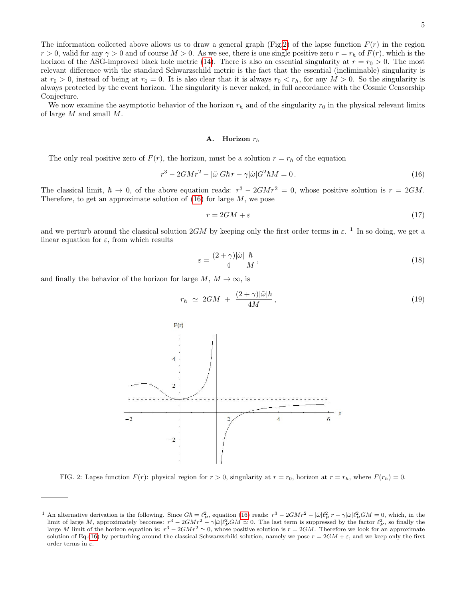The information collected above allows us to draw a general graph (Fig[.2\)](#page-4-0) of the lapse function  $F(r)$  in the region  $r > 0$ , valid for any  $\gamma > 0$  and of course  $M > 0$ . As we see, there is one single positive zero  $r = r_h$  of  $F(r)$ , which is the horizon of the ASG-improved black hole metric [\(14\)](#page-3-1). There is also an essential singularity at  $r = r_0 > 0$ . The most relevant difference with the standard Schwarzschild metric is the fact that the essential (ineliminable) singularity is at  $r_0 > 0$ , instead of being at  $r_0 = 0$ . It is also clear that it is always  $r_0 < r_h$ , for any  $M > 0$ . So the singularity is always protected by the event horizon. The singularity is never naked, in full accordance with the Cosmic Censorship Conjecture.

We now examine the asymptotic behavior of the horizon  $r_h$  and of the singularity  $r_0$  in the physical relevant limits of large M and small M.

#### A. Horizon  $r_h$

The only real positive zero of  $F(r)$ , the horizon, must be a solution  $r = r<sub>h</sub>$  of the equation

$$
r^3 - 2GMr^2 - |\tilde{\omega}|G\hbar r - \gamma|\tilde{\omega}|G^2\hbar M = 0.
$$
\n(16)

The classical limit,  $\hbar \to 0$ , of the above equation reads:  $r^3 - 2GMr^2 = 0$ , whose positive solution is  $r = 2GM$ . Therefore, to get an approximate solution of  $(16)$  for large M, we pose

$$
r = 2GM + \varepsilon \tag{17}
$$

and we perturb around the classical solution  $2GM$  by keeping only the first order terms in  $\varepsilon$ . <sup>1</sup> In so doing, we get a linear equation for  $\varepsilon$ , from which results

$$
\varepsilon = \frac{(2+\gamma)|\tilde{\omega}|}{4} \frac{\hbar}{M},\tag{18}
$$

and finally the behavior of the horizon for large  $M, M \to \infty$ , is

<span id="page-4-1"></span>
$$
r_h \simeq 2GM + \frac{(2+\gamma)|\tilde{\omega}|h}{4M}, \qquad (19)
$$



<span id="page-4-0"></span>FIG. 2: Lapse function  $F(r)$ : physical region for  $r > 0$ , singularity at  $r = r_0$ , horizon at  $r = r_h$ , where  $F(r_h) = 0$ .

<sup>&</sup>lt;sup>1</sup> An alternative derivation is the following. Since  $G\hbar = \ell_P^2$ , equation [\(16\)](#page-3-3) reads:  $r^3 - 2GMr^2 - |\tilde{\omega}|\ell_P^2 r - \gamma |\tilde{\omega}|\ell_P^2 GM = 0$ , which, in the limit of large M, approximately becomes:  $r^3 - 2GMr^2 - \gamma |\tilde{\omega}|\ell_P^2 GM \simeq 0$ large M limit of the horizon equation is:  $r^3 - 2GMr^2 \approx 0$ , whose positive solution is  $r = 2GM$ . Therefore we look for an approximate solution of Eq.[\(16\)](#page-3-3) by perturbing around the classical Schwarzschild solution, namely we pose  $r = 2GM + \epsilon$ , and we keep only the first order terms in  $\varepsilon$ .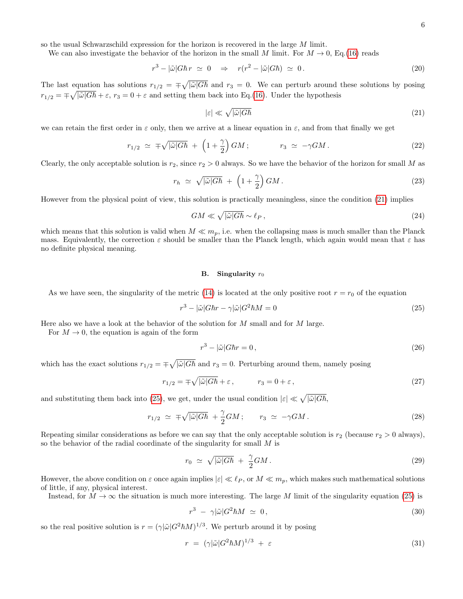so the usual Schwarzschild expression for the horizon is recovered in the large M limit.

We can also investigate the behavior of the horizon in the small M limit. For  $M \to 0$ , Eq.[\(16\)](#page-3-3) reads

$$
r^3 - |\tilde{\omega}| G \hbar r \simeq 0 \quad \Rightarrow \quad r(r^2 - |\tilde{\omega}| G \hbar) \simeq 0. \tag{20}
$$

The last equation has solutions  $r_{1/2} = \pm \sqrt{|\tilde{\omega}|G\hbar}$  and  $r_3 = 0$ . We can perturb around these solutions by posing  $r_{1/2} = \pm \sqrt{|\tilde{\omega}|G\hbar} + \varepsilon$ ,  $r_3 = 0 + \varepsilon$  and setting them back into Eq.[\(16\)](#page-3-3). Under the hypothesis

<span id="page-5-0"></span>
$$
|\varepsilon| \ll \sqrt{|\tilde{\omega}|G\hbar} \tag{21}
$$

we can retain the first order in  $\varepsilon$  only, then we arrive at a linear equation in  $\varepsilon$ , and from that finally we get

$$
r_{1/2} \simeq \mp \sqrt{|\tilde{\omega}|G\hbar} + \left(1 + \frac{\gamma}{2}\right)GM; \qquad r_3 \simeq -\gamma GM. \qquad (22)
$$

Clearly, the only acceptable solution is  $r_2$ , since  $r_2 > 0$  always. So we have the behavior of the horizon for small M as

<span id="page-5-2"></span>
$$
r_h \simeq \sqrt{|\tilde{\omega}|G\hbar} + \left(1 + \frac{\gamma}{2}\right)GM. \tag{23}
$$

However from the physical point of view, this solution is practically meaningless, since the condition [\(21\)](#page-5-0) implies

$$
GM \ll \sqrt{|\tilde{\omega}|G\hbar} \sim \ell_P \,,\tag{24}
$$

which means that this solution is valid when  $M \ll m_p$ , i.e. when the collapsing mass is much smaller than the Planck mass. Equivalently, the correction  $\varepsilon$  should be smaller than the Planck length, which again would mean that  $\varepsilon$  has no definite physical meaning.

### B. Singularity  $r_0$

As we have seen, the singularity of the metric [\(14\)](#page-3-1) is located at the only positive root  $r = r_0$  of the equation

<span id="page-5-1"></span>
$$
r^3 - |\tilde{\omega}| G \hbar r - \gamma |\tilde{\omega}| G^2 \hbar M = 0 \tag{25}
$$

Here also we have a look at the behavior of the solution for  $M$  small and for  $M$  large.

For  $M \to 0$ , the equation is again of the form

$$
r^3 - |\tilde{\omega}| G \hbar r = 0, \qquad (26)
$$

which has the exact solutions  $r_{1/2} = \pm \sqrt{|\tilde{\omega}| G \hbar}$  and  $r_3 = 0$ . Perturbing around them, namely posing

$$
r_{1/2} = \pm \sqrt{|\tilde{\omega}| G \hbar} + \varepsilon, \qquad r_3 = 0 + \varepsilon, \qquad (27)
$$

and substituting them back into [\(25\)](#page-5-1), we get, under the usual condition  $|\varepsilon| \ll \sqrt{|\tilde{\omega}|G\hbar}$ ,

$$
r_{1/2} \simeq \mp \sqrt{|\tilde{\omega}|G\hbar} + \frac{\gamma}{2}GM; \qquad r_3 \simeq -\gamma GM. \tag{28}
$$

Repeating similar considerations as before we can say that the only acceptable solution is  $r_2$  (because  $r_2 > 0$  always), so the behavior of the radial coordinate of the singularity for small M is

<span id="page-5-3"></span>
$$
r_0 \simeq \sqrt{|\tilde{\omega}|G\hbar} + \frac{\gamma}{2}GM. \tag{29}
$$

However, the above condition on  $\varepsilon$  once again implies  $|\varepsilon| \ll \ell_P$ , or  $M \ll m_p$ , which makes such mathematical solutions of little, if any, physical interest.

Instead, for  $M \to \infty$  the situation is much more interesting. The large M limit of the singularity equation [\(25\)](#page-5-1) is

$$
r^3 - \gamma |\tilde{\omega}| G^2 \hbar M \simeq 0, \qquad (30)
$$

so the real positive solution is  $r = (\gamma |\tilde{\omega}| G^2 \hbar M)^{1/3}$ . We perturb around it by posing

$$
r = (\gamma |\tilde{\omega}| G^2 \hbar M)^{1/3} + \varepsilon \tag{31}
$$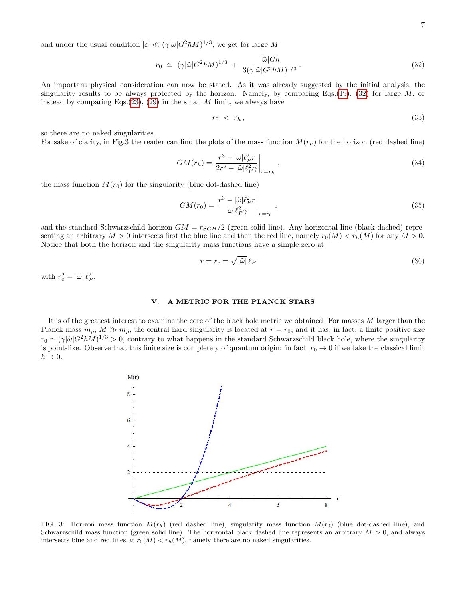and under the usual condition  $|\varepsilon| \ll (\gamma |\tilde{\omega}| G^2 \hbar M)^{1/3}$ , we get for large M

<span id="page-6-0"></span>
$$
r_0 \simeq \left(\gamma|\tilde{\omega}|G^2\hbar M\right)^{1/3} + \frac{|\tilde{\omega}|G\hbar}{3(\gamma|\tilde{\omega}|G^2\hbar M)^{1/3}}.
$$
\n(32)

An important physical consideration can now be stated. As it was already suggested by the initial analysis, the singularity results to be always protected by the horizon. Namely, by comparing Eqs.[\(19\)](#page-4-1), [\(32\)](#page-6-0) for large  $M$ , or instead by comparing Eqs. $(23)$ ,  $(29)$  in the small M limit, we always have

$$
r_0 \, < \, r_h \,, \tag{33}
$$

so there are no naked singularities.

For sake of clarity, in Fig.3 the reader can find the plots of the mass function  $M(r_h)$  for the horizon (red dashed line)

<span id="page-6-1"></span>
$$
GM(r_h) = \frac{r^3 - |\tilde{\omega}|\ell_P^2 r}{2r^2 + |\tilde{\omega}|\ell_P^2 \gamma} \bigg|_{r=r_h} \,,\tag{34}
$$

the mass function  $M(r_0)$  for the singularity (blue dot-dashed line)

$$
GM(r_0) = \left. \frac{r^3 - |\tilde{\omega}|\ell_P^2 r}{|\tilde{\omega}|\ell_P^2 \gamma} \right|_{r=r_0},\tag{35}
$$

and the standard Schwarzschild horizon  $GM = r_{SCH}/2$  (green solid line). Any horizontal line (black dashed) representing an arbitrary  $M > 0$  intersects first the blue line and then the red line, namely  $r_0(M) < r_h(M)$  for any  $M > 0$ . Notice that both the horizon and the singularity mass functions have a simple zero at

$$
r = r_c = \sqrt{|\tilde{\omega}|} \ell_P \tag{36}
$$

with  $r_c^2 = |\tilde{\omega}| \ell_P^2$ .

# V. A METRIC FOR THE PLANCK STARS

It is of the greatest interest to examine the core of the black hole metric we obtained. For masses M larger than the Planck mass  $m_p$ ,  $M \gg m_p$ , the central hard singularity is located at  $r = r_0$ , and it has, in fact, a finite positive size  $r_0 \simeq (\gamma |\tilde{\omega}| G^2 \hbar M)^{1/3} > 0$ , contrary to what happens in the standard Schwarzschild black hole, where the singularity is point-like. Observe that this finite size is completely of quantum origin: in fact,  $r_0 \to 0$  if we take the classical limit  $\hbar \rightarrow 0.$ 



FIG. 3: Horizon mass function  $M(r_h)$  (red dashed line), singularity mass function  $M(r_0)$  (blue dot-dashed line), and Schwarzschild mass function (green solid line). The horizontal black dashed line represents an arbitrary  $M > 0$ , and always intersects blue and red lines at  $r_0(M) < r_h(M)$ , namely there are no naked singularities.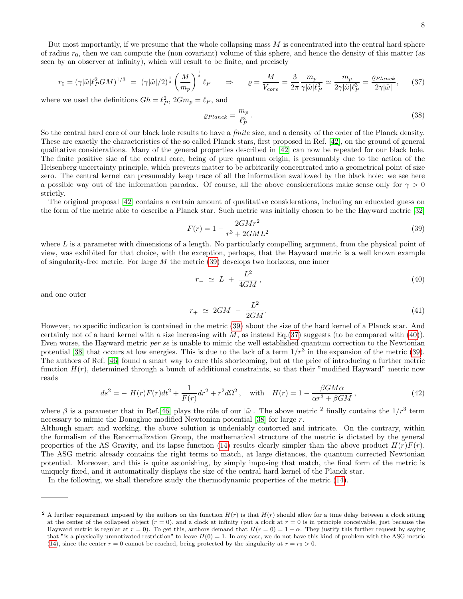But most importantly, if we presume that the whole collapsing mass  $M$  is concentrated into the central hard sphere of radius  $r_0$ , then we can compute the (non covariant) volume of this sphere, and hence the density of this matter (as seen by an observer at infinity), which will result to be finite, and precisely

<span id="page-7-1"></span>
$$
r_0 = (\gamma |\tilde{\omega}|\ell_P^2 GM)^{1/3} = (\gamma |\tilde{\omega}|/2)^{\frac{1}{3}} \left(\frac{M}{m_p}\right)^{\frac{1}{3}} \ell_P \qquad \Rightarrow \qquad \varrho = \frac{M}{V_{core}} = \frac{3}{2\pi} \frac{m_p}{\gamma |\tilde{\omega}|\ell_P^3} \simeq \frac{m_p}{2\gamma |\tilde{\omega}|\ell_P^3} = \frac{\varrho_{Planck}}{2\gamma |\tilde{\omega}|},\tag{37}
$$

where we used the definitions  $G\hbar = \ell_P^2$ ,  $2Gm_p = \ell_P$ , and

$$
\varrho_{Planck} = \frac{m_p}{\ell_P^3} \,. \tag{38}
$$

So the central hard core of our black hole results to have a finite size, and a density of the order of the Planck density. These are exactly the characteristics of the so called Planck stars, first proposed in Ref. [\[42\]](#page-13-5), on the ground of general qualitative considerations. Many of the general properties described in [\[42\]](#page-13-5) can now be repeated for our black hole. The finite positive size of the central core, being of pure quantum origin, is presumably due to the action of the Heisenberg uncertainty principle, which prevents matter to be arbitrarily concentrated into a geometrical point of size zero. The central kernel can presumably keep trace of all the information swallowed by the black hole: we see here a possible way out of the information paradox. Of course, all the above considerations make sense only for  $\gamma > 0$ strictly.

The original proposal [\[42\]](#page-13-5) contains a certain amount of qualitative considerations, including an educated guess on the form of the metric able to describe a Planck star. Such metric was initially chosen to be the Hayward metric [\[32\]](#page-13-14)

<span id="page-7-0"></span>
$$
F(r) = 1 - \frac{2GMr^2}{r^3 + 2GML^2}
$$
\n(39)

where  $L$  is a parameter with dimensions of a length. No particularly compelling argument, from the physical point of view, was exhibited for that choice, with the exception, perhaps, that the Hayward metric is a well known example of singularity-free metric. For large  $M$  the metric [\(39\)](#page-7-0) develops two horizons, one inner

<span id="page-7-2"></span>
$$
r_{-} \simeq L + \frac{L^2}{4GM},\tag{40}
$$

and one outer

$$
r_{+} \simeq 2GM - \frac{L^2}{2GM}.\tag{41}
$$

However, no specific indication is contained in the metric [\(39\)](#page-7-0) about the size of the hard kernel of a Planck star. And certainly not of a hard kernel with a size increasing with  $M$ , as instead Eq.[\(37\)](#page-7-1) suggests (to be compared with [\(40\)](#page-7-2)). Even worse, the Hayward metric per se is unable to mimic the well established quantum correction to the Newtonian potential [\[38\]](#page-13-8) that occurs at low energies. This is due to the lack of a term  $1/r^3$  in the expansion of the metric [\(39\)](#page-7-0). The authors of Ref. [\[46\]](#page-13-16) found a smart way to cure this shortcoming, but at the price of introducing a further metric function  $H(r)$ , determined through a bunch of additional constraints, so that their "modified Hayward" metric now reads

$$
ds^{2} = -H(r)F(r)dt^{2} + \frac{1}{F(r)}dr^{2} + r^{2}d\Omega^{2}, \text{ with } H(r) = 1 - \frac{\beta GM\alpha}{\alpha r^{3} + \beta GM},
$$
\n(42)

where  $\beta$  is a parameter that in Ref.[\[46\]](#page-13-16) plays the rôle of our  $|\tilde{\omega}|$ . The above metric <sup>2</sup> finally contains the  $1/r^3$  term necessary to mimic the Donoghue modified Newtonian potential  $[38]$  for large r.

Although smart and working, the above solution is undeniably contorted and intricate. On the contrary, within the formalism of the Renormalization Group, the mathematical structure of the metric is dictated by the general properties of the AS Gravity, and its lapse function [\(14\)](#page-3-1) results clearly simpler than the above product  $H(r)F(r)$ . The ASG metric already contains the right terms to match, at large distances, the quantum corrected Newtonian potential. Moreover, and this is quite astonishing, by simply imposing that match, the final form of the metric is uniquely fixed, and it automatically displays the size of the central hard kernel of the Planck star.

In the following, we shall therefore study the thermodynamic properties of the metric [\(14\)](#page-3-1).

<sup>&</sup>lt;sup>2</sup> A further requirement imposed by the authors on the function  $H(r)$  is that  $H(r)$  should allow for a time delay between a clock sitting at the center of the collapsed object  $(r = 0)$ , and a clock at infinity (put a clock at  $r = 0$  is in principle conceivable, just because the Hayward metric is regular at  $r = 0$ ). To get this, authors demand that  $H(r = 0) = 1 - \alpha$ . They justify this further request by saying that "is a physically unmotivated restriction" to leave  $H(0) = 1$ . In any case, we do not have this kind of problem with the ASG metric [\(14\)](#page-3-1), since the center  $r = 0$  cannot be reached, being protected by the singularity at  $r = r_0 > 0$ .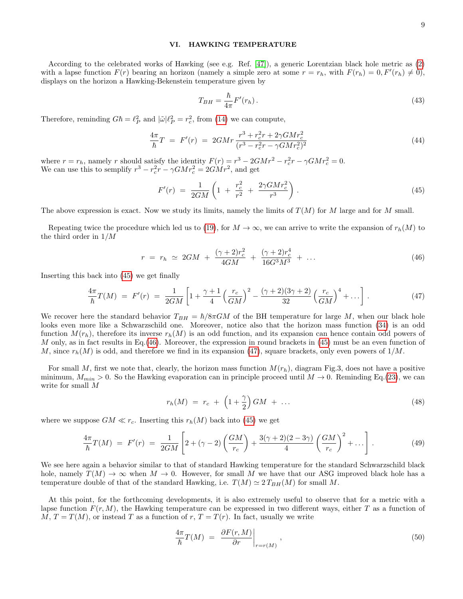### VI. HAWKING TEMPERATURE

According to the celebrated works of Hawking (see e.g. Ref. [\[47\]](#page-13-17)), a generic Lorentzian black hole metric as [\(2\)](#page-1-4) with a lapse function  $F(r)$  bearing an horizon (namely a simple zero at some  $r = r_h$ , with  $F(r_h) = 0, F'(r_h) \neq 0$ ), displays on the horizon a Hawking-Bekenstein temperature given by

$$
T_{BH} = \frac{\hbar}{4\pi} F'(r_h). \tag{43}
$$

Therefore, reminding  $G\hbar = \ell_P^2$  and  $|\tilde{\omega}| \ell_P^2 = r_c^2$ , from [\(14\)](#page-3-1) we can compute,

$$
\frac{4\pi}{\hbar}T = F'(r) = 2GMr \frac{r^3 + r_c^2r + 2\gamma GMr_c^2}{(r^3 - r_c^2r - \gamma GMr_c^2)^2}
$$
\n(44)

where  $r = r_h$ , namely r should satisfy the identity  $F(r) = r^3 - 2GMr^2 - r_c^2r - \gamma GMr_c^2 = 0$ . We can use this to semplify  $r^3 - r_c^2 r - \gamma G M r_c^2 = 2 G M r^2$ , and get

<span id="page-8-0"></span>
$$
F'(r) = \frac{1}{2GM} \left( 1 + \frac{r_c^2}{r^2} + \frac{2\gamma GMr_c^2}{r^3} \right). \tag{45}
$$

The above expression is exact. Now we study its limits, namely the limits of  $T(M)$  for M large and for M small.

Repeating twice the procedure which led us to [\(19\)](#page-4-1), for  $M \to \infty$ , we can arrive to write the expansion of  $r_h(M)$  to the third order in 1/M

<span id="page-8-1"></span>
$$
r = r_h \simeq 2GM + \frac{(\gamma + 2)r_c^2}{4GM} + \frac{(\gamma + 2)r_c^4}{16G^3M^3} + \dots \tag{46}
$$

Inserting this back into [\(45\)](#page-8-0) we get finally

<span id="page-8-2"></span>
$$
\frac{4\pi}{\hbar}T(M) = F'(r) = \frac{1}{2GM} \left[ 1 + \frac{\gamma + 1}{4} \left( \frac{r_c}{GM} \right)^2 - \frac{(\gamma + 2)(3\gamma + 2)}{32} \left( \frac{r_c}{GM} \right)^4 + \dots \right].
$$
\n(47)

We recover here the standard behavior  $T_{BH} = \hbar/8\pi GM$  of the BH temperature for large M, when our black hole looks even more like a Schwarzschild one. Moreover, notice also that the horizon mass function [\(34\)](#page-6-1) is an odd function  $M(r_h)$ , therefore its inverse  $r_h(M)$  is an odd function, and its expansion can hence contain odd powers of M only, as in fact results in Eq.[\(46\)](#page-8-1). Moreover, the expression in round brackets in [\(45\)](#page-8-0) must be an even function of M, since  $r_h(M)$  is odd, and therefore we find in its expansion [\(47\)](#page-8-2), square brackets, only even powers of  $1/M$ .

For small M, first we note that, clearly, the horizon mass function  $M(r_h)$ , diagram Fig.3, does not have a positive minimum,  $M_{min} > 0$ . So the Hawking evaporation can in principle proceed until  $M \to 0$ . Reminding Eq.[\(23\)](#page-5-2), we can write for small M

$$
r_h(M) \ = \ r_c \ + \ \left(1 + \frac{\gamma}{2}\right) GM \ + \ \dots \tag{48}
$$

where we suppose  $GM \ll r_c$ . Inserting this  $r_h(M)$  back into [\(45\)](#page-8-0) we get

<span id="page-8-3"></span>
$$
\frac{4\pi}{\hbar}T(M) = F'(r) = \frac{1}{2GM} \left[ 2 + (\gamma - 2) \left( \frac{GM}{r_c} \right) + \frac{3(\gamma + 2)(2 - 3\gamma)}{4} \left( \frac{GM}{r_c} \right)^2 + \dots \right].
$$
\n(49)

We see here again a behavior similar to that of standard Hawking temperature for the standard Schwarzschild black hole, namely  $T(M) \to \infty$  when  $M \to 0$ . However, for small M we have that our ASG improved black hole has a temperature double of that of the standard Hawking, i.e.  $T(M) \simeq 2 T_{BH}(M)$  for small M.

At this point, for the forthcoming developments, it is also extremely useful to observe that for a metric with a lapse function  $F(r, M)$ , the Hawking temperature can be expressed in two different ways, either T as a function of  $M, T = T(M)$ , or instead T as a function of r,  $T = T(r)$ . In fact, usually we write

$$
\frac{4\pi}{\hbar}T(M) = \left. \frac{\partial F(r, M)}{\partial r} \right|_{r=r(M)}, \tag{50}
$$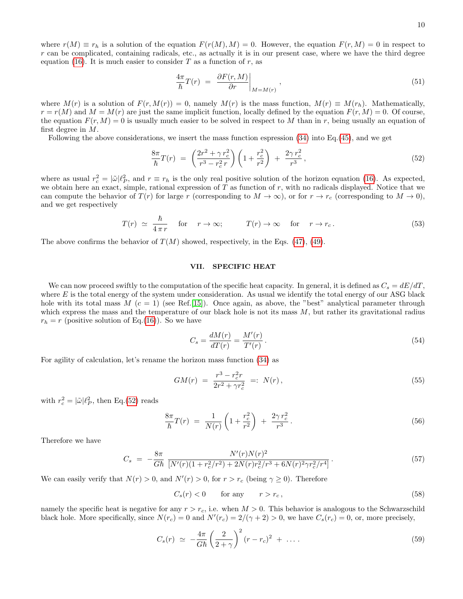$$
\frac{4\pi}{\hbar}T(r) = \left. \frac{\partial F(r, M)}{\partial r} \right|_{M=M(r)}, \tag{51}
$$

where  $M(r)$  is a solution of  $F(r, M(r)) = 0$ , namely  $M(r)$  is the mass function,  $M(r) \equiv M(r_h)$ . Mathematically,  $r = r(M)$  and  $M = M(r)$  are just the same implicit function, locally defined by the equation  $F(r, M) = 0$ . Of course, the equation  $F(r, M) = 0$  is usually much easier to be solved in respect to M than in r, being usually an equation of first degree in M.

Following the above considerations, we insert the mass function espression [\(34\)](#page-6-1) into Eq.[\(45\)](#page-8-0), and we get

<span id="page-9-0"></span>
$$
\frac{8\pi}{\hbar}T(r) = \left(\frac{2r^2 + \gamma r_c^2}{r^3 - r_c^2 r}\right)\left(1 + \frac{r_c^2}{r^2}\right) + \frac{2\gamma r_c^2}{r^3},\tag{52}
$$

where as usual  $r_c^2 = |\tilde{\omega}|\ell_P^2$ , and  $r \equiv r_h$  is the only real positive solution of the horizon equation [\(16\)](#page-3-3). As expected, we obtain here an exact, simple, rational expression of  $T$  as function of  $r$ , with no radicals displayed. Notice that we can compute the behavior of  $T(r)$  for large r (corresponding to  $M \to \infty$ ), or for  $r \to r_c$  (corresponding to  $M \to 0$ ), and we get respectively

$$
T(r) \simeq \frac{\hbar}{4\pi r} \quad \text{for} \quad r \to \infty; \qquad T(r) \to \infty \quad \text{for} \quad r \to r_c. \tag{53}
$$

The above confirms the behavior of  $T(M)$  showed, respectively, in the Eqs. [\(47\)](#page-8-2), [\(49\)](#page-8-3).

### VII. SPECIFIC HEAT

We can now proceed swiftly to the computation of the specific heat capacity. In general, it is defined as  $C_s = dE/dT$ , where  $E$  is the total energy of the system under consideration. As usual we identify the total energy of our ASG black hole with its total mass  $M$  ( $c = 1$ ) (see Ref.[\[15\]](#page-12-4)). Once again, as above, the "best" analytical parameter through which express the mass and the temperature of our black hole is not its mass  $M$ , but rather its gravitational radius  $r_h = r$  (positive solution of Eq.[\(16\)](#page-3-3)). So we have

$$
C_s = \frac{dM(r)}{dT(r)} = \frac{M'(r)}{T'(r)}\,. \tag{54}
$$

For agility of calculation, let's rename the horizon mass function [\(34\)](#page-6-1) as

<span id="page-9-1"></span>
$$
GM(r) = \frac{r^3 - r_c^2 r}{2r^2 + \gamma r_c^2} =: N(r), \qquad (55)
$$

with  $r_c^2 = |\tilde{\omega}| \ell_P^2$ , then Eq.[\(52\)](#page-9-0) reads

<span id="page-9-2"></span>
$$
\frac{8\pi}{\hbar}T(r) = \frac{1}{N(r)}\left(1 + \frac{r_c^2}{r^2}\right) + \frac{2\gamma r_c^2}{r^3}.
$$
\n(56)

Therefore we have

$$
C_s = -\frac{8\pi}{G\hbar} \frac{N'(r)N(r)^2}{[N'(r)(1+r_c^2/r^2)+2N(r)r_c^2/r^3+6N(r)^2\gamma r_c^2/r^4]}.
$$
\n(57)

We can easily verify that  $N(r) > 0$ , and  $N'(r) > 0$ , for  $r > r_c$  (being  $\gamma \ge 0$ ). Therefore

$$
C_s(r) < 0 \qquad \text{for any} \qquad r > r_c \,,\tag{58}
$$

namely the specific heat is negative for any  $r > r_c$ , i.e. when  $M > 0$ . This behavior is analogous to the Schwarzschild black hole. More specifically, since  $N(r_c) = 0$  and  $N'(r_c) = 2/(\gamma + 2) > 0$ , we have  $C_s(r_c) = 0$ , or, more precisely,

$$
C_s(r) \simeq -\frac{4\pi}{G\hbar} \left(\frac{2}{2+\gamma}\right)^2 (r-r_c)^2 + \dots \tag{59}
$$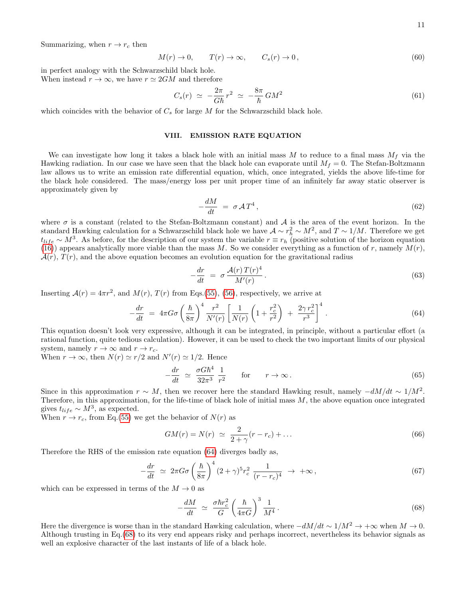Summarizing, when  $r \to r_c$  then

$$
M(r) \to 0, \qquad T(r) \to \infty, \qquad C_s(r) \to 0,
$$
\n
$$
(60)
$$

in perfect analogy with the Schwarzschild black hole. When instead  $r \to \infty$ , we have  $r \simeq 2GM$  and therefore

$$
C_s(r) \simeq -\frac{2\pi}{G\hbar}r^2 \simeq -\frac{8\pi}{\hbar}GM^2 \tag{61}
$$

which coincides with the behavior of  $C_s$  for large M for the Schwarzschild black hole.

### VIII. EMISSION RATE EQUATION

We can investigate how long it takes a black hole with an initial mass M to reduce to a final mass  $M_f$  via the Hawking radiation. In our case we have seen that the black hole can evaporate until  $M_f = 0$ . The Stefan-Boltzmann law allows us to write an emission rate differential equation, which, once integrated, yields the above life-time for the black hole considered. The mass/energy loss per unit proper time of an infinitely far away static observer is approximately given by

$$
-\frac{dM}{dt} = \sigma \mathcal{A}T^4, \qquad (62)
$$

where  $\sigma$  is a constant (related to the Stefan-Boltzmann constant) and  $\mathcal A$  is the area of the event horizon. In the standard Hawking calculation for a Schwarzschild black hole we have  $\mathcal{A} \sim r_h^2 \sim M^2$ , and  $T \sim 1/M$ . Therefore we get  $t_{life} \sim M^3$ . As before, for the description of our system the variable  $r \equiv r_h$  (positive solution of the horizon equation [\(16\)](#page-3-3)) appears analytically more viable than the mass M. So we consider everything as a function of r, namely  $M(r)$ ,  $\mathcal{A}(r)$ ,  $T(r)$ , and the above equation becomes an evolution equation for the gravitational radius

$$
-\frac{dr}{dt} = \sigma \frac{\mathcal{A}(r)T(r)^4}{M'(r)}.
$$
\n(63)

Inserting  $\mathcal{A}(r) = 4\pi r^2$ , and  $M(r)$ ,  $T(r)$  from Eqs.[\(55\)](#page-9-1), [\(56\)](#page-9-2), respectively, we arrive at

<span id="page-10-0"></span>
$$
-\frac{dr}{dt} = 4\pi G \sigma \left(\frac{\hbar}{8\pi}\right)^4 \frac{r^2}{N'(r)} \left[\frac{1}{N(r)} \left(1 + \frac{r_c^2}{r^2}\right) + \frac{2\gamma r_c^2}{r^3}\right]^4.
$$
 (64)

This equation doesn't look very expressive, although it can be integrated, in principle, without a particular effort (a rational function, quite tedious calculation). However, it can be used to check the two important limits of our physical system, namely  $r \to \infty$  and  $r \to r_c$ .

When  $r \to \infty$ , then  $N(r) \simeq r/2$  and  $N'(r) \simeq 1/2$ . Hence

$$
-\frac{dr}{dt} \simeq \frac{\sigma G \hbar^4}{32\pi^3} \frac{1}{r^2} \quad \text{for} \quad r \to \infty.
$$
 (65)

Since in this approximation  $r \sim M$ , then we recover here the standard Hawking result, namely  $-dM/dt \sim 1/M^2$ . Therefore, in this approximation, for the life-time of black hole of initial mass  $M$ , the above equation once integrated gives  $t_{life} \sim M^3$ , as expected.

When  $r \to r_c$ , from Eq.[\(55\)](#page-9-1) we get the behavior of  $N(r)$  as

<span id="page-10-2"></span>
$$
GM(r) = N(r) \simeq \frac{2}{2+\gamma}(r-r_c) + \dots \tag{66}
$$

Therefore the RHS of the emission rate equation [\(64\)](#page-10-0) diverges badly as,

$$
-\frac{dr}{dt} \simeq 2\pi G \sigma \left(\frac{\hbar}{8\pi}\right)^4 (2+\gamma)^5 r_c^2 \frac{1}{(r-r_c)^4} \to +\infty, \tag{67}
$$

which can be expressed in terms of the  $M \to 0$  as

<span id="page-10-1"></span>
$$
-\frac{dM}{dt} \simeq \frac{\sigma \hbar r_c^2}{G} \left(\frac{\hbar}{4\pi G}\right)^3 \frac{1}{M^4}.
$$
\n(68)

Here the divergence is worse than in the standard Hawking calculation, where  $-dM/dt \sim 1/M^2 \to +\infty$  when  $M \to 0$ . Although trusting in Eq.[\(68\)](#page-10-1) to its very end appears risky and perhaps incorrect, nevertheless its behavior signals as well an explosive character of the last instants of life of a black hole.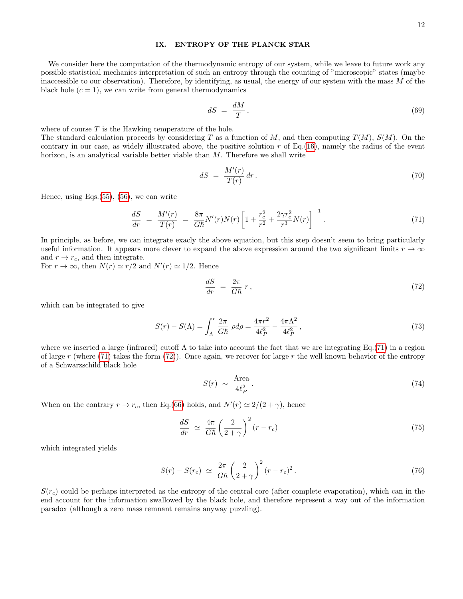### IX. ENTROPY OF THE PLANCK STAR

We consider here the computation of the thermodynamic entropy of our system, while we leave to future work any possible statistical mechanics interpretation of such an entropy through the counting of "microscopic" states (maybe inaccessible to our observation). Therefore, by identifying, as usual, the energy of our system with the mass M of the black hole  $(c = 1)$ , we can write from general thermodynamics

$$
dS = \frac{dM}{T},\tag{69}
$$

where of course  $T$  is the Hawking temperature of the hole.

The standard calculation proceeds by considering T as a function of M, and then computing  $T(M)$ ,  $S(M)$ . On the contrary in our case, as widely illustrated above, the positive solution  $r$  of Eq.[\(16\)](#page-3-3), namely the radius of the event horizon, is an analytical variable better viable than M. Therefore we shall write

$$
dS = \frac{M'(r)}{T(r)} dr. \tag{70}
$$

Hence, using Eqs. $(55)$ ,  $(56)$ , we can write

<span id="page-11-0"></span>
$$
\frac{dS}{dr} = \frac{M'(r)}{T(r)} = \frac{8\pi}{G\hbar}N'(r)N(r)\left[1 + \frac{r_c^2}{r^2} + \frac{2\gamma r_c^2}{r^3}N(r)\right]^{-1}.
$$
\n(71)

In principle, as before, we can integrate exacly the above equation, but this step doesn't seem to bring particularly useful information. It appears more clever to expand the above expression around the two significant limits  $r \to \infty$ and  $r \rightarrow r_c$ , and then integrate.

For  $r \to \infty$ , then  $N(r) \simeq r/2$  and  $N'(r) \simeq 1/2$ . Hence

<span id="page-11-1"></span>
$$
\frac{dS}{dr} = \frac{2\pi}{G\hbar} r,\tag{72}
$$

which can be integrated to give

$$
S(r) - S(\Lambda) = \int_{\Lambda}^{r} \frac{2\pi}{G\hbar} \rho d\rho = \frac{4\pi r^2}{4\ell_P^2} - \frac{4\pi\Lambda^2}{4\ell_P^2},
$$
\n(73)

where we inserted a large (infrared) cutoff  $\Lambda$  to take into account the fact that we are integrating Eq.[\(71\)](#page-11-0) in a region of large r (where [\(71\)](#page-11-0) takes the form [\(72\)](#page-11-1)). Once again, we recover for large r the well known behavior of the entropy of a Schwarzschild black hole

$$
S(r) \sim \frac{\text{Area}}{4\ell_P^2} \,. \tag{74}
$$

When on the contrary  $r \to r_c$ , then Eq.[\(66\)](#page-10-2) holds, and  $N'(r) \simeq 2/(2+\gamma)$ , hence

$$
\frac{dS}{dr} \simeq \frac{4\pi}{G\hbar} \left(\frac{2}{2+\gamma}\right)^2 (r-r_c) \tag{75}
$$

which integrated yields

$$
S(r) - S(r_c) \simeq \frac{2\pi}{G\hbar} \left(\frac{2}{2+\gamma}\right)^2 (r-r_c)^2. \tag{76}
$$

 $S(r_c)$  could be perhaps interpreted as the entropy of the central core (after complete evaporation), which can in the end account for the information swallowed by the black hole, and therefore represent a way out of the information paradox (although a zero mass remnant remains anyway puzzling).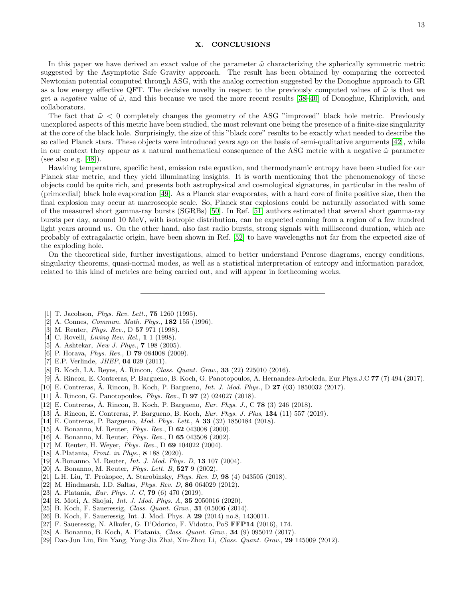### X. CONCLUSIONS

In this paper we have derived an exact value of the parameter  $\tilde{\omega}$  characterizing the spherically symmetric metric suggested by the Asymptotic Safe Gravity approach. The result has been obtained by comparing the corrected Newtonian potential computed through ASG, with the analog correction suggested by the Donoghue approach to GR as a low energy effective QFT. The decisive novelty in respect to the previously computed values of  $\tilde{\omega}$  is that we get a negative value of  $\tilde{\omega}$ , and this because we used the more recent results [\[38–](#page-13-8)[40\]](#page-13-13) of Donoghue, Khriplovich, and collaborators.

The fact that  $\tilde{\omega} < 0$  completely changes the geometry of the ASG "improved" black hole metric. Previously unexplored aspects of this metric have been studied, the most relevant one being the presence of a finite-size singularity at the core of the black hole. Surprisingly, the size of this "black core" results to be exactly what needed to describe the so called Planck stars. These objects were introduced years ago on the basis of semi-qualitative arguments [\[42\]](#page-13-5), while in our context they appear as a natural mathematical consequence of the ASG metric with a negative  $\tilde{\omega}$  parameter (see also e.g. [\[48\]](#page-13-18)).

Hawking temperature, specific heat, emission rate equation, and thermodynamic entropy have been studied for our Planck star metric, and they yield illuminating insights. It is worth mentioning that the phenomenology of these objects could be quite rich, and presents both astrophysical and cosmological signatures, in particular in the realm of (primordial) black hole evaporation [\[49\]](#page-13-19). As a Planck star evaporates, with a hard core of finite positive size, then the final explosion may occur at macroscopic scale. So, Planck star explosions could be naturally associated with some of the measured short gamma-ray bursts (SGRBs) [\[50\]](#page-13-20). In Ref. [\[51\]](#page-13-21) authors estimated that several short gamma-ray bursts per day, around 10 MeV, with isotropic distribution, can be expected coming from a region of a few hundred light years around us. On the other hand, also fast radio bursts, strong signals with millisecond duration, which are probably of extragalactic origin, have been shown in Ref. [\[52\]](#page-13-22) to have wavelengths not far from the expected size of the exploding hole.

On the theoretical side, further investigations, aimed to better understand Penrose diagrams, energy conditions, singularity theorems, quasi-normal modes, as well as a statistical interpretation of entropy and information paradox, related to this kind of metrics are being carried out, and will appear in forthcoming works.

- <span id="page-12-0"></span>[1] T. Jacobson, *Phys. Rev. Lett.*, **75** 1260 (1995).
- [2] A. Connes, *Commun. Math. Phys.*, **182** 155 (1996).
- [3] M. Reuter, *Phys. Rev.*, D **57** 971 (1998).
- [4] C. Rovelli, *Living Rev. Rel.*, **1** 1 (1998).
- [5] A. Ashtekar, *New J. Phys.*, **7** 198 (2005).
- [6] P. Horava, *Phys. Rev.*, D **79** 084008 (2009).
- <span id="page-12-1"></span>[7] E.P. Verlinde, *JHEP*, **04** 029 (2011).
- <span id="page-12-2"></span>[8] B. Koch, I.A. Reyes,  $\tilde{A}$ . Rincon, *Class. Quant. Grav.*, **33** (22) 225010 (2016).
- [9] A. Rincon, E. Contreras, P. Bargueno, B. Koch, G. Panotopoulos, A. Hernandez-Arboleda, Eur.Phys.J.C ˜ 77 (7) 494 (2017).
- <span id="page-12-9"></span>[10] E. Contreras, A. Rincon, B. Koch, P. Bargueno, *Int. J. Mod. Phys.*, D **27** (03) 1850032 (2017).
- [11] Ä. Rincon, G. Panotopoulos, *Phys. Rev.*, D **97** (2) 024027 (2018).
- [12] E. Contreras, A. Rincon, B. Koch, P. Bargueno, *Eur. Phys. J.*, C **78** (3) 246 (2018).
- [13] A. Rincon, E. Contreras, P. Bargueno, B. Koch, *Eur. Phys. J. Plus*, 134 (11) 557 (2019).
- <span id="page-12-3"></span>[14] E. Contreras, P. Bargueno, *Mod. Phys. Lett.*, A 33 (32) 1850184 (2018).
- <span id="page-12-4"></span>[15] A. Bonanno, M. Reuter, *Phys. Rev.*, D **62** 043008 (2000).
- [16] A. Bonanno, M. Reuter, *Phys. Rev.*, D **65** 043508 (2002).
- <span id="page-12-5"></span>[17] M. Reuter, H. Weyer, Phys. Rev., D 69 104022 (2004).
- <span id="page-12-6"></span>[18] A.Platania, Front. in Phys., **8** 188 (2020).
- [19] A.Bonanno, M. Reuter, Int. J. Mod. Phys. D, 13 107 (2004).
- [20] A. Bonanno, M. Reuter, *Phys. Lett. B*, **527** 9 (2002).
- [21] L.H. Liu, T. Prokopec, A. Starobinsky, Phys. Rev. D, 98 (4) 043505 (2018).
- [22] M. Hindmarsh, I.D. Saltas, *Phys. Rev. D*, **86** 064029 (2012).
- [23] A. Platania, *Eur. Phys. J. C*, **79** (6) 470 (2019).
- [24] R. Moti, A. Shojai, *Int. J. Mod. Phys. A*, **35** 2050016 (2020).
- [25] B. Koch, F. Saueressig, *Class. Quant. Grav.*, **31** 015006 (2014).
- <span id="page-12-7"></span>[26] B. Koch, F. Saueressig, Int. J. Mod. Phys. A **29** (2014) no.8, 1430011.
- <span id="page-12-8"></span>[27] F. Saueressig, N. Alkofer, G. D'Odorico, F. Vidotto, PoS FFP14 (2016), 174.
- [28] A. Bonanno, B. Koch, A. Platania, Class. Quant. Grav., 34 (9) 095012 (2017).
- [29] Dao-Jun Liu, Bin Yang, Yong-Jia Zhai, Xin-Zhou Li, Class. Quant. Grav., 29 145009 (2012).